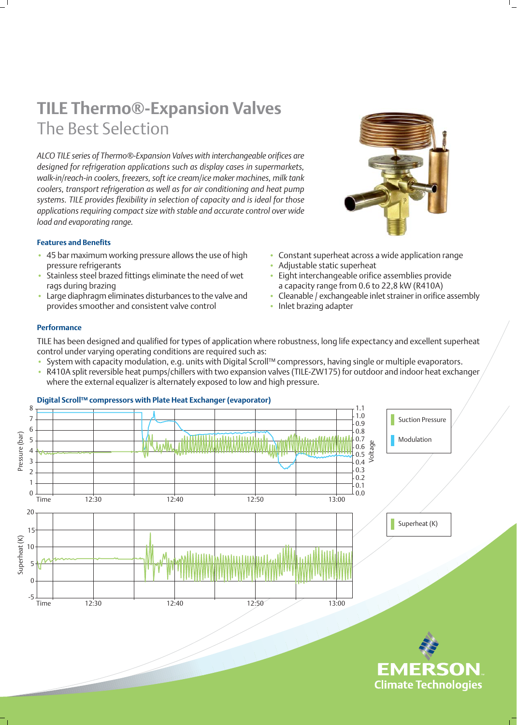# **TILE Thermo®-Expansion Valves** The Best Selection

*ALCO TILE series of Thermo®-Expansion Valves with interchangeable orifices are designed for refrigeration applications such as display cases in supermarkets, walk-in/reach-in coolers, freezers, soft ice cream/ice maker machines, milk tank coolers, transport refrigeration as well as for air conditioning and heat pump systems. TILE provides flexibility in selection of capacity and is ideal for those applications requiring compact size with stable and accurate control over wide load and evaporating range.*

#### **Features and Benefits**

- 45 bar maximum working pressure allows the use of high pressure refrigerants
- Stainless steel brazed fittings eliminate the need of wet rags during brazing
- Large diaphragm eliminates disturbances to the valve and provides smoother and consistent valve control



- Constant superheat across a wide application range
- Adjustable static superheat
- Eight interchangeable orifice assemblies provide a capacity range from 0.6 to 22,8 kW (R410A)
- Cleanable / exchangeable inlet strainer in orifice assembly

**EMERSON Climate Technologies** 

• Inlet brazing adapter

#### **Performance**

TILE has been designed and qualified for types of application where robustness, long life expectancy and excellent superheat control under varying operating conditions are required such as:

- System with capacity modulation, e.g. units with Digital Scroll™ compressors, having single or multiple evaporators.
- R410A split reversible heat pumps/chillers with two expansion valves (TILE-ZW175) for outdoor and indoor heat exchanger where the external equalizer is alternately exposed to low and high pressure.



# **Digital Scroll™ compressors with Plate Heat Exchanger (evaporator)**